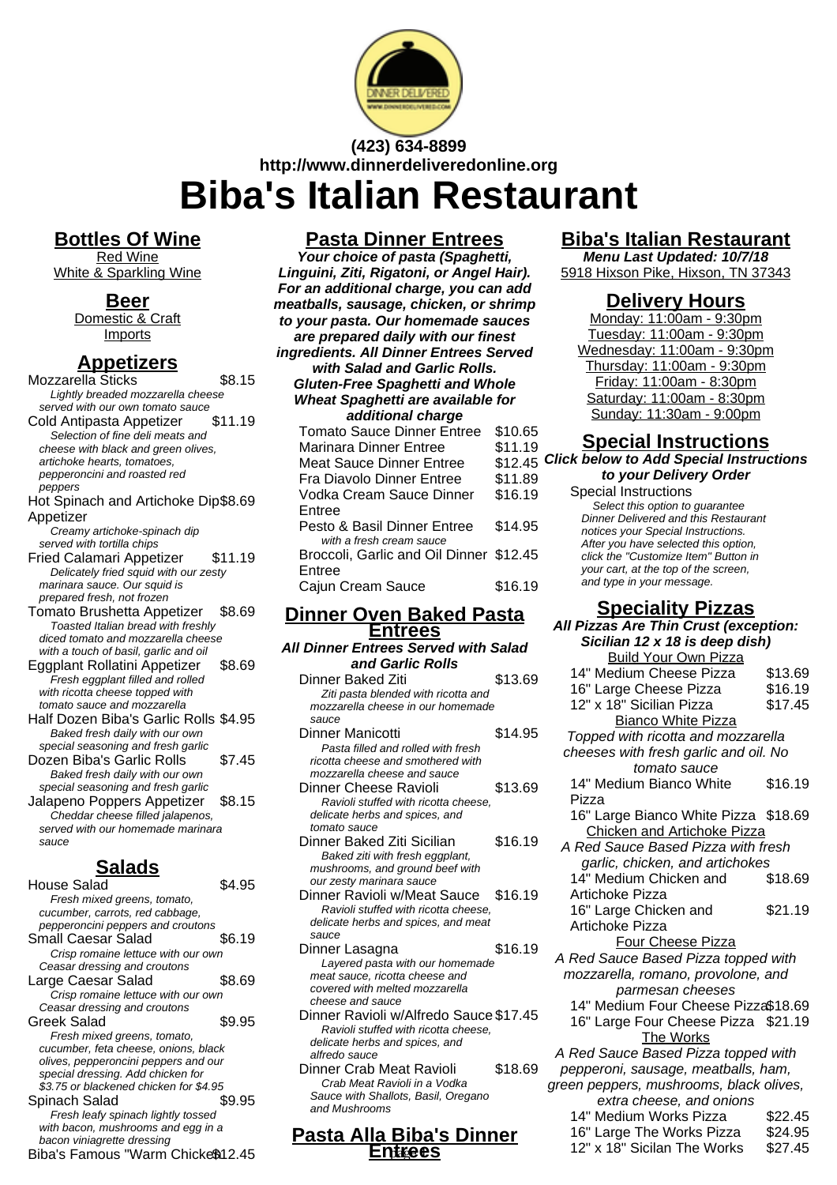

# **(423) 634-8899 http://www.dinnerdeliveredonline.org Biba's Italian Restaurant**

**Bottles Of Wine**

Red Wine White & Sparkling Wine

### **Beer**

Domestic & Craft Imports

## **Appetizers**

Mozzarella Sticks \$8.15 Lightly breaded mozzarella cheese served with our own tomato sauce Cold Antipasta Appetizer \$11.19 Selection of fine deli meats and cheese with black and green olives, artichoke hearts, tomatoes, pepperoncini and roasted red peppers Hot Spinach and Artichoke Dip \$8.69 Appetizer Creamy artichoke-spinach dip served with tortilla chips Fried Calamari Appetizer \$11.19 Delicately fried squid with our zesty marinara sauce. Our squid is prepared fresh, not frozen Tomato Brushetta Appetizer \$8.69 Toasted Italian bread with freshly diced tomato and mozzarella cheese with a touch of basil, garlic and oil Eggplant Rollatini Appetizer \$8.69 Fresh eggplant filled and rolled with ricotta cheese topped with tomato sauce and mozzarella Half Dozen Biba's Garlic Rolls \$4.95 Baked fresh daily with our own special seasoning and fresh garlic Dozen Biba's Garlic Rolls \$7.45 Baked fresh daily with our own special seasoning and fresh garlic Jalapeno Poppers Appetizer \$8.15 Cheddar cheese filled jalapenos, served with our homemade marinara sauce **Salads**  $H<sub>OL</sub>$   $R<sub>4.95</sub>$ 

| ı ıvuə <del>c</del> valau              | ⊎−∴ ບ  |
|----------------------------------------|--------|
| Fresh mixed greens, tomato,            |        |
| cucumber, carrots, red cabbage,        |        |
| pepperoncini peppers and croutons      |        |
| Small Caesar Salad                     | \$6.19 |
| Crisp romaine lettuce with our own     |        |
| Ceasar dressing and croutons           |        |
| Large Caesar Salad                     | \$8.69 |
| Crisp romaine lettuce with our own     |        |
| Ceasar dressing and croutons           |        |
| Greek Salad                            | \$9.95 |
| Fresh mixed greens, tomato,            |        |
| cucumber, feta cheese, onions, black   |        |
| olives, pepperoncini peppers and our   |        |
| special dressing. Add chicken for      |        |
| \$3.75 or blackened chicken for \$4.95 |        |
| Spinach Salad                          | \$9.95 |
| Fresh leafy spinach lightly tossed     |        |
| with bacon, mushrooms and egg in a     |        |
| bacon viniagrette dressing             |        |
| Biba's Famous "Warm Chicke\$12.45      |        |
|                                        |        |

# **Pasta Dinner Entrees**

**Your choice of pasta (Spaghetti, Linguini, Ziti, Rigatoni, or Angel Hair). For an additional charge, you can add meatballs, sausage, chicken, or shrimp to your pasta. Our homemade sauces are prepared daily with our finest ingredients. All Dinner Entrees Served with Salad and Garlic Rolls. Gluten-Free Spaghetti and Whole Wheat Spaghetti are available for additional charge**

| aaannomar omar qo                       |         |
|-----------------------------------------|---------|
| <b>Tomato Sauce Dinner Entree</b>       | \$10.65 |
| Marinara Dinner Entree                  | \$11.19 |
| Meat Sauce Dinner Entree                | \$12.45 |
| <b>Fra Diavolo Dinner Entree</b>        | \$11.89 |
| Vodka Cream Sauce Dinner                | \$16.19 |
| Entree                                  |         |
| Pesto & Basil Dinner Entree             | \$14.95 |
| with a fresh cream sauce                |         |
| Broccoli, Garlic and Oil Dinner \$12.45 |         |
| Entree                                  |         |
| Cajun Cream Sauce                       | \$16.19 |
|                                         |         |

#### **Dinner Oven Baked Pasta Entrees**

| All Dinner Entrees Served with Salad                                                                                                                                                    |         |
|-----------------------------------------------------------------------------------------------------------------------------------------------------------------------------------------|---------|
| and Garlic Rolls                                                                                                                                                                        |         |
| Dinner Baked Ziti<br>Ziti pasta blended with ricotta and                                                                                                                                | \$13.69 |
| mozzarella cheese in our homemade<br>sauce                                                                                                                                              |         |
| Dinner Manicotti<br>Pasta filled and rolled with fresh<br>ricotta cheese and smothered with                                                                                             | \$14.95 |
| mozzarella cheese and sauce<br>Dinner Cheese Ravioli<br>Ravioli stuffed with ricotta cheese.<br>delicate herbs and spices, and                                                          | \$13.69 |
| tomato sauce<br>Dinner Baked Ziti Sicilian<br>Baked ziti with fresh eggplant,                                                                                                           | \$16.19 |
| mushrooms, and ground beef with<br>our zesty marinara sauce<br>Dinner Ravioli w/Meat Sauce<br>Ravioli stuffed with ricotta cheese,<br>delicate herbs and spices, and meat               | \$16.19 |
| sauce<br>Dinner Lasagna<br>Layered pasta with our homemade<br>meat sauce, ricotta cheese and                                                                                            | \$16.19 |
| covered with melted mozzarella<br>cheese and sauce<br>Dinner Ravioli w/Alfredo Sauce \$17.45<br>Ravioli stuffed with ricotta cheese.<br>delicate herbs and spices, and<br>alfredo sauce |         |
|                                                                                                                                                                                         |         |

Dinner Crab Meat Ravioli \$18.69 Crab Meat Ravioli in a Vodka Sauce with Shallots, Basil, Oregano and Mushrooms

#### **Pasta Alla Biba's Dinner Entrees**

# **Biba's Italian Restaurant**

**Menu Last Updated: 10/7/18** 5918 Hixson Pike, Hixson, TN 37343

## **Delivery Hours**

Monday: 11:00am - 9:30pm Tuesday: 11:00am - 9:30pm Wednesday: 11:00am - 9:30pm Thursday: 11:00am - 9:30pm Friday: 11:00am - 8:30pm Saturday: 11:00am - 8:30pm Sunday: 11:30am - 9:00pm

## **Special Instructions**

**Click below to Add Special Instructions to your Delivery Order**

## **Speciality Pizzas**

| itrees                                 | All Pizzas Are Thin Crust (exception: |                                         |         |
|----------------------------------------|---------------------------------------|-----------------------------------------|---------|
| es Served with Salad                   |                                       | Sicilian 12 x 18 is deep dish)          |         |
| arlic Rolls                            |                                       | <b>Build Your Own Pizza</b>             |         |
| Ziti                                   | \$13.69                               | 14" Medium Cheese Pizza                 | \$13.69 |
| ded with ricotta and                   |                                       | 16" Large Cheese Pizza                  | \$16.19 |
| se in our homemade                     |                                       | 12" x 18" Sicilian Pizza                | \$17.45 |
|                                        |                                       | <b>Bianco White Pizza</b>               |         |
| tti                                    | \$14.95                               | Topped with ricotta and mozzarella      |         |
| d rolled with fresh                    |                                       | cheeses with fresh garlic and oil. No   |         |
| nd smothered with                      |                                       | tomato sauce                            |         |
| se and sauce<br>: Ravioli              | \$13.69                               | 14" Medium Bianco White                 | \$16.19 |
| I with ricotta cheese.                 |                                       | Pizza                                   |         |
| nd spices, and                         |                                       | 16" Large Bianco White Pizza \$18.69    |         |
|                                        |                                       | <b>Chicken and Artichoke Pizza</b>      |         |
| Ziti Sicilian                          | \$16.19                               | A Red Sauce Based Pizza with fresh      |         |
| h fresh eggplant,                      |                                       | garlic, chicken, and artichokes         |         |
| d ground beef with<br>ara sauce        |                                       | 14" Medium Chicken and                  | \$18.69 |
| w/Meat Sauce                           | \$16.19                               | Artichoke Pizza                         |         |
| I with ricotta cheese.                 |                                       | 16" Large Chicken and                   | \$21.19 |
| nd spices, and meat                    |                                       | <b>Artichoke Pizza</b>                  |         |
|                                        |                                       | <b>Four Cheese Pizza</b>                |         |
| а                                      | \$16.19                               | A Red Sauce Based Pizza topped with     |         |
| a with our homemade<br>otta cheese and |                                       | mozzarella, romano, provolone, and      |         |
| elted mozzarella                       |                                       | parmesan cheeses                        |         |
| сe                                     |                                       | 14" Medium Four Cheese Pizza\$18.69     |         |
| w/Alfredo Sauce \$17.45                |                                       | 16" Large Four Cheese Pizza \$21.19     |         |
| I with ricotta cheese,                 |                                       | The Works                               |         |
| nd spices, and                         |                                       | A Red Sauce Based Pizza topped with     |         |
| eat Ravioli                            | \$18.69                               | pepperoni, sausage, meatballs, ham,     |         |
| ıvioli in a Vodka                      |                                       | green peppers, mushrooms, black olives, |         |
| llots, Basil, Oregano                  |                                       | extra cheese, and onions                |         |
|                                        |                                       | 14" Medium Works Pizza                  | \$22.45 |
|                                        |                                       | 16" Large The Works Pizza               | \$24.95 |
| <b>Biba's Dinner</b>                   |                                       | 12" x 18" Sicilan The Works             | \$27.45 |
| ntrees                                 |                                       |                                         |         |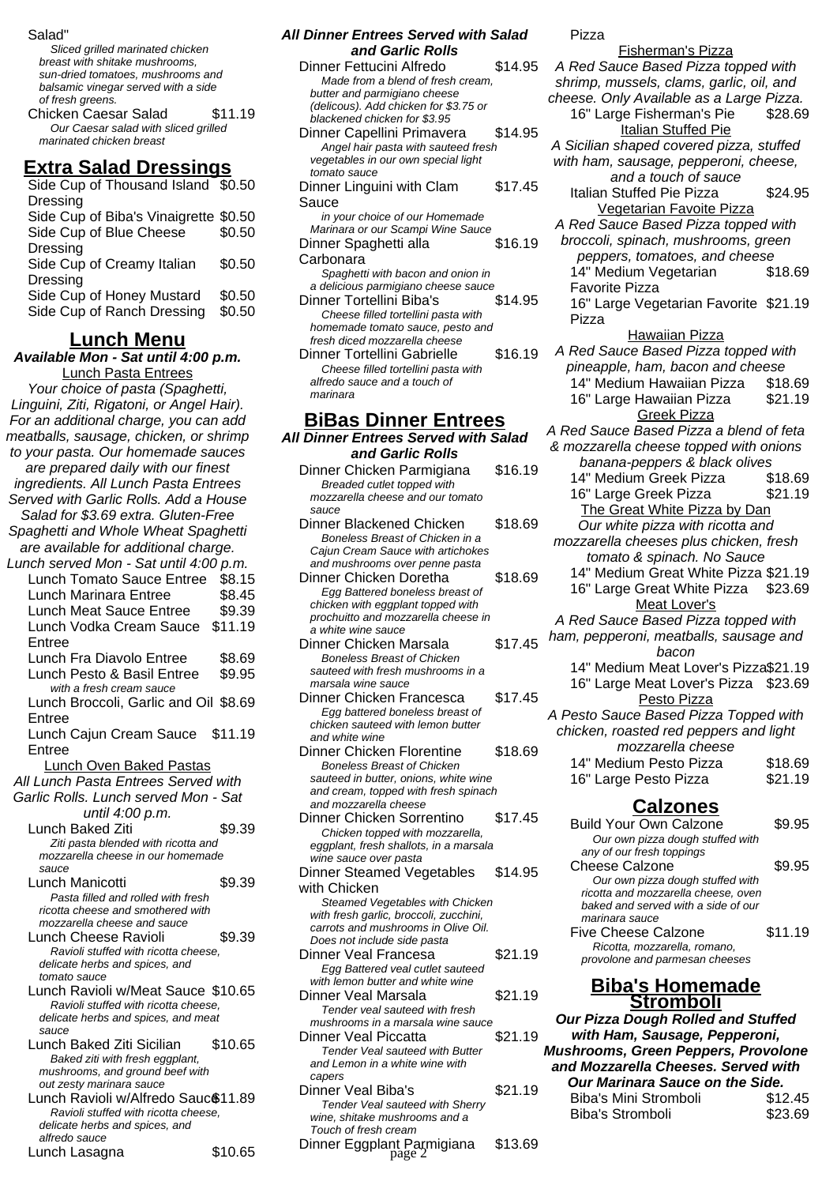#### Salad"

Sliced grilled marinated chicken breast with shitake mushrooms, sun-dried tomatoes, mushrooms and balsamic vinegar served with a side of fresh greens. Chicken Caesar Salad \$11.19 Our Caesar salad with sliced grilled marinated chicken breast

### **Extra Salad Dressings**

| Side Cup of Thousand Island \$0.50    |        |
|---------------------------------------|--------|
| Dressing                              |        |
| Side Cup of Biba's Vinaigrette \$0.50 |        |
| Side Cup of Blue Cheese               | \$0.50 |
| Dressing                              |        |
| Side Cup of Creamy Italian            | \$0.50 |
| <b>Dressing</b>                       |        |
| Side Cup of Honey Mustard             | \$0.50 |
| Side Cup of Ranch Dressing            | \$0.50 |
|                                       |        |

### **Lunch Menu**

**Available Mon - Sat until 4:00 p.m.** Lunch Pasta Entrees

Your choice of pasta (Spaghetti, Linguini, Ziti, Rigatoni, or Angel Hair). For an additional charge, you can add meatballs, sausage, chicken, or shrimp to your pasta. Our homemade sauces are prepared daily with our finest ingredients. All Lunch Pasta Entrees Served with Garlic Rolls. Add a House Salad for \$3.69 extra. Gluten-Free Spaghetti and Whole Wheat Spaghetti are available for additional charge. Lunch served Mon - Sat until 4:00 p.m. Lunch Tomato Sauce Entree \$8.15 Lunch Marinara Entree \$8.45 Lunch Meat Sauce Entree \$9.39 Lunch Vodka Cream Sauce \$11.19 Entree Lunch Fra Diavolo Entree \$8.69 Lunch Pesto & Basil Entree \$9.95 with a fresh cream sauce Lunch Broccoli, Garlic and Oil \$8.69 Entree Lunch Cajun Cream Sauce \$11.19 Entree Lunch Oven Baked Pastas All Lunch Pasta Entrees Served with Garlic Rolls. Lunch served Mon - Sat until 4:00 p.m. Lunch Baked Ziti \$9.39 Ziti pasta blended with ricotta and mozzarella cheese in our homemade sauce Lunch Manicotti **\$9.39** Pasta filled and rolled with fresh ricotta cheese and smothered with mozzarella cheese and sauce Lunch Cheese Ravioli \$9.39 Ravioli stuffed with ricotta cheese, delicate herbs and spices, and tomato sauce Lunch Ravioli w/Meat Sauce \$10.65 Ravioli stuffed with ricotta cheese, delicate herbs and spices, and meat sauce

Lunch Baked Ziti Sicilian \$10.65 Baked ziti with fresh eggplant, mushrooms, and ground beef with out zesty marinara sauce Lunch Ravioli w/Alfredo Sauc<sup>\$</sup>11.89 Ravioli stuffed with ricotta cheese, delicate herbs and spices, and alfredo sauce Lunch Lasagna \$10.65

#### **All Dinner Entrees Served with Salad and Garlic Rolls** Dinner Fettucini Alfredo \$14.95 Made from a blend of fresh cream, butter and parmigiano cheese (delicous). Add chicken for \$3.75 or blackened chicken for \$3.95 Dinner Capellini Primavera \$14.95 Angel hair pasta with sauteed fresh vegetables in our own special light tomato sauce Dinner Linguini with Clam Sauce \$17.45 in your choice of our Homemade Marinara or our Scampi Wine Sauce Dinner Spaghetti alla Carbonara \$16.19 Spaghetti with bacon and onion in a delicious parmigiano cheese sauce Dinner Tortellini Biba's \$14.95 Cheese filled tortellini pasta with homemade tomato sauce, pesto and fresh diced mozzarella cheese Dinner Tortellini Gabrielle \$16.19 Cheese filled tortellini pasta with alfredo sauce and a touch of marinara **BiBas Dinner Entrees**

#### **All Dinner Entrees Served with Salad and Garlic Rolls**

- Dinner Chicken Parmigiana \$16.19 Breaded cutlet topped with mozzarella cheese and our tomato sauce
- Dinner Blackened Chicken \$18.69 Boneless Breast of Chicken in a Cajun Cream Sauce with artichokes and mushrooms over penne pasta
- Dinner Chicken Doretha \$18.69 Egg Battered boneless breast of chicken with eggplant topped with prochuitto and mozzarella cheese in a white wine sauce
- Dinner Chicken Marsala \$17.45 Boneless Breast of Chicken sauteed with fresh mushrooms in a marsala wine sauce
- Dinner Chicken Francesca \$17.45 Egg battered boneless breast of chicken sauteed with lemon butter and white wine
- Dinner Chicken Florentine \$18.69 Boneless Breast of Chicken sauteed in butter, onions, white wine and cream, topped with fresh spinach and mozzarella cheese
- Dinner Chicken Sorrentino \$17.45 Chicken topped with mozzarella, eggplant, fresh shallots, in a marsala wine sauce over pasta
- Dinner Steamed Vegetables with Chicken \$14.95 Steamed Vegetables with Chicken
- with fresh garlic, broccoli, zucchini, carrots and mushrooms in Olive Oil. Does not include side pasta Dinner Veal Francesa \$21.19
- Egg Battered veal cutlet sauteed with lemon butter and white wine Dinner Veal Marsala \$21.19
- Tender veal sauteed with fresh mushrooms in a marsala wine sauce Dinner Veal Piccatta **\$21.19**
- Tender Veal sauteed with Butter and Lemon in a white wine with capers
- Dinner Veal Biba's \$21.19 Tender Veal sauteed with Sherry wine, shitake mushrooms and a Touch of fresh cream Dinner Eggplant Parmigiana \$13.69 page 2

Pizza

Fisherman's Pizza A Red Sauce Based Pizza topped with shrimp, mussels, clams, garlic, oil, and cheese. Only Available as a Large Pizza. 16" Large Fisherman's Pie \$28.69 **Italian Stuffed Pie** A Sicilian shaped covered pizza, stuffed with ham, sausage, pepperoni, cheese, and a touch of sauce Italian Stuffed Pie Pizza \$24.95 Vegetarian Favoite Pizza A Red Sauce Based Pizza topped with broccoli, spinach, mushrooms, green peppers, tomatoes, and cheese 14" Medium Vegetarian Favorite Pizza \$18.69 16" Large Vegetarian Favorite \$21.19 Pizza Hawaiian Pizza A Red Sauce Based Pizza topped with pineapple, ham, bacon and cheese 14" Medium Hawaiian Pizza \$18.69 16" Large Hawaiian Pizza \$21.19 Greek Pizza A Red Sauce Based Pizza a blend of feta & mozzarella cheese topped with onions banana-peppers & black olives 14" Medium Greek Pizza \$18.69 16" Large Greek Pizza \$21.19 The Great White Pizza by Dan Our white pizza with ricotta and mozzarella cheeses plus chicken, fresh tomato & spinach. No Sauce 14" Medium Great White Pizza \$21.19 16" Large Great White Pizza \$23.69 Meat Lover's A Red Sauce Based Pizza topped with ham, pepperoni, meatballs, sausage and bacon 14" Medium Meat Lover's Pizza\$21.19 16" Large Meat Lover's Pizza \$23.69 Pesto Pizza A Pesto Sauce Based Pizza Topped with chicken, roasted red peppers and light mozzarella cheese 14" Medium Pesto Pizza \$18.69 16" Large Pesto Pizza  $$21.19$ **Calzones** Build Your Own Calzone \$9.95 Our own pizza dough stuffed with any of our fresh toppings Cheese Calzone \$9.95 Our own pizza dough stuffed with ricotta and mozzarella cheese, oven baked and served with a side of our marinara sauce Five Cheese Calzone \$11.19 Ricotta, mozzarella, romano, provolone and parmesan cheeses

#### **Biba's Homemade Stromboli**

**Our Pizza Dough Rolled and Stuffed with Ham, Sausage, Pepperoni, Mushrooms, Green Peppers, Provolone and Mozzarella Cheeses. Served with Our Marinara Sauce on the Side.**

| <u>Uul Mariilard Sauce Ulf üle Siue.</u> |         |
|------------------------------------------|---------|
| Biba's Mini Stromboli                    | \$12.45 |
| Biba's Stromboli                         | \$23.69 |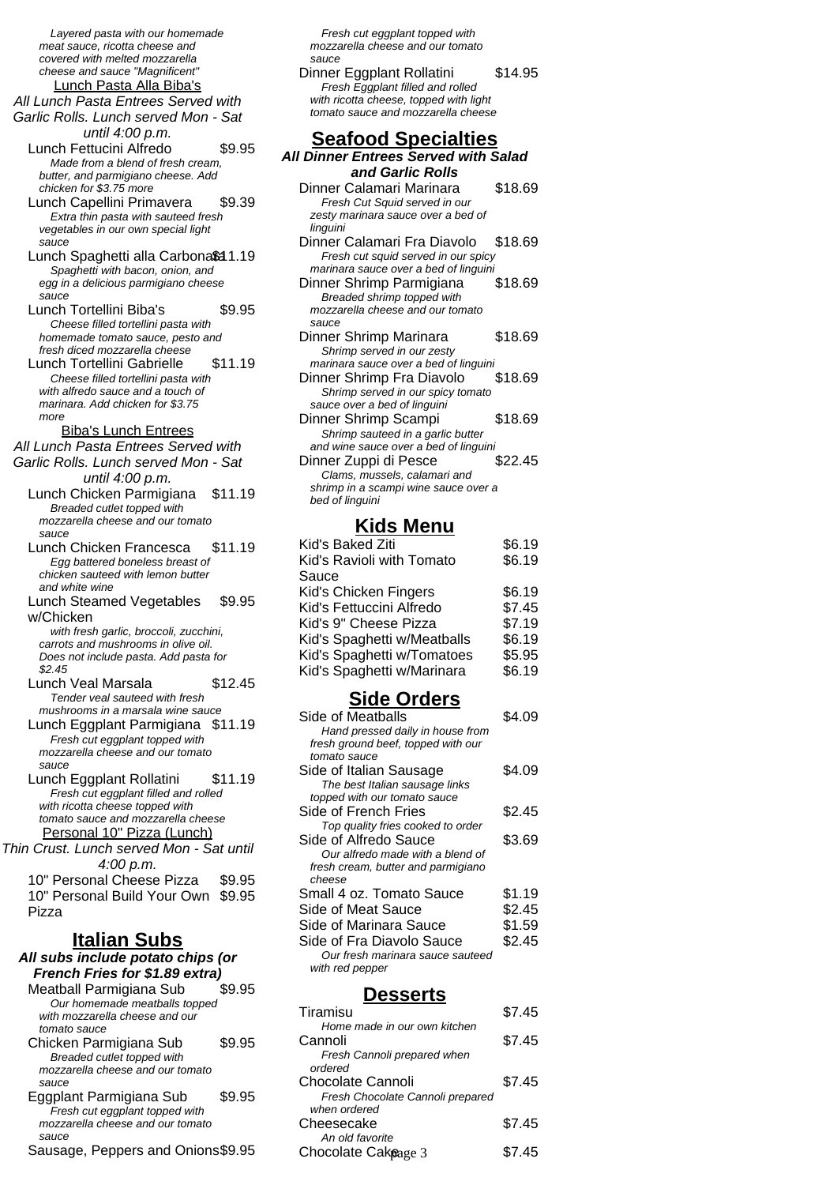Layered pasta with our homemade meat sauce, ricotta cheese and covered with melted mozzarella cheese and sauce "Magnificent" Lunch Pasta Alla Biba's All Lunch Pasta Entrees Served with Garlic Rolls. Lunch served Mon - Sat until 4:00 p.m. Lunch Fettucini Alfredo \$9.95 Made from a blend of fresh cream, butter, and parmigiano cheese. Add chicken for \$3.75 more Lunch Capellini Primavera \$9.39 Extra thin pasta with sauteed fresh vegetables in our own special light sauce Lunch Spaghetti alla Carbona\$ 1.19 Spaghetti with bacon, onion, and egg in a delicious parmigiano cheese sauce Lunch Tortellini Biba's \$9.95 Cheese filled tortellini pasta with homemade tomato sauce, pesto and fresh diced mozzarella cheese Lunch Tortellini Gabrielle \$11.19 Cheese filled tortellini pasta with with alfredo sauce and a touch of marinara. Add chicken for \$3.75 more Biba's Lunch Entrees All Lunch Pasta Entrees Served with Garlic Rolls. Lunch served Mon - Sat until 4:00 p.m. Lunch Chicken Parmigiana \$11.19 Breaded cutlet topped with mozzarella cheese and our tomato sauce Lunch Chicken Francesca \$11.19 Egg battered boneless breast of chicken sauteed with lemon butter and white wine Lunch Steamed Vegetables w/Chicken \$9.95 with fresh garlic, broccoli, zucchini, carrots and mushrooms in olive oil. Does not include pasta. Add pasta for \$2.45 Lunch Veal Marsala \$12.45 Tender veal sauteed with fresh mushrooms in a marsala wine sauce Lunch Eggplant Parmigiana \$11.19 Fresh cut eggplant topped with mozzarella cheese and our tomato sauce Lunch Eggplant Rollatini \$11.19 Fresh cut eggplant filled and rolled with ricotta cheese topped with tomato sauce and mozzarella cheese Personal 10" Pizza (Lunch) Thin Crust. Lunch served Mon - Sat until 4:00 p.m. 10" Personal Cheese Pizza \$9.95 10" Personal Build Your Own \$9.95 Pizza **Italian Subs All subs include potato chips (or French Fries for \$1.89 extra)** Meatball Parmigiana Sub Our homemade meatballs topped with mozzarella cheese and our tomato sauce Chicken Parmigiana Sub \$9.95 Breaded cutlet topped with mozzarella cheese and our tomato sauce Eggplant Parmigiana Sub \$9.95 Fresh cut eggplant topped with mozzarella cheese and our tomato sauce

| Sausage, Peppers and Onions\$9.95 |  |
|-----------------------------------|--|
|-----------------------------------|--|

Fresh cut eggplant topped with mozzarella cheese and our tomato sauce Dinner Eggplant Rollatini \$14.95 Fresh Eggplant filled and rolled with ricotta cheese, topped with light tomato sauce and mozzarella cheese

## **Seafood Specialties**

| All Dinner Entrees Served with Salad                                |         |
|---------------------------------------------------------------------|---------|
| and Garlic Rolls                                                    |         |
| Dinner Calamari Marinara                                            | \$18.69 |
| Fresh Cut Squid served in our                                       |         |
| zesty marinara sauce over a bed of                                  |         |
| linguini                                                            |         |
| Dinner Calamari Fra Diavolo                                         | \$18.69 |
| Fresh cut squid served in our spicy                                 |         |
| marinara sauce over a bed of linguini                               |         |
| Dinner Shrimp Parmigiana                                            | \$18.69 |
| Breaded shrimp topped with                                          |         |
| mozzarella cheese and our tomato                                    |         |
| sauce                                                               |         |
| Dinner Shrimp Marinara                                              | \$18.69 |
| Shrimp served in our zesty<br>marinara sauce over a bed of linguini |         |
| Dinner Shrimp Fra Diavolo                                           | \$18.69 |
| Shrimp served in our spicy tomato                                   |         |
| sauce over a bed of linguini                                        |         |
| Dinner Shrimp Scampi                                                | \$18.69 |
| Shrimp sauteed in a garlic butter                                   |         |
| and wine sauce over a bed of linguini                               |         |
| Dinner Zuppi di Pesce                                               | \$22.45 |
| Clams, mussels, calamari and                                        |         |
| shrimp in a scampi wine sauce over a                                |         |
| bed of linguini                                                     |         |

# **Kids Menu**

| Kid's Baked Ziti            | \$6.19 |
|-----------------------------|--------|
| Kid's Ravioli with Tomato   | \$6.19 |
| Sauce                       |        |
| Kid's Chicken Fingers       | \$6.19 |
| Kid's Fettuccini Alfredo    | \$7.45 |
| Kid's 9" Cheese Pizza       | \$7.19 |
| Kid's Spaghetti w/Meatballs | \$6.19 |
| Kid's Spaghetti w/Tomatoes  | \$5.95 |
| Kid's Spaghetti w/Marinara  | \$6.19 |
|                             |        |

## **Side Orders**

| Side of Meatballs                  | S4 09  |
|------------------------------------|--------|
| Hand pressed daily in house from   |        |
| fresh ground beef, topped with our |        |
| tomato sauce                       |        |
| Side of Italian Sausage            | \$4.09 |
| The best Italian sausage links     |        |
| topped with our tomato sauce       |        |
| Side of French Fries               | \$2.45 |
| Top quality fries cooked to order  |        |
| Side of Alfredo Sauce              | \$3.69 |
| Our alfredo made with a blend of   |        |
| fresh cream, butter and parmigiano |        |
| cheese                             |        |
| Small 4 oz. Tomato Sauce           | \$1.19 |
| Side of Meat Sauce                 | \$2.45 |
| Side of Marinara Sauce             | \$1.59 |
| Side of Fra Diavolo Sauce          | \$2.45 |
| Our fresh marinara sauce sauteed   |        |
| with red pepper                    |        |
|                                    |        |

### **Desserts**

| Tiramisu                         | \$7.45 |
|----------------------------------|--------|
| Home made in our own kitchen     |        |
| Cannoli                          | \$7.45 |
| Fresh Cannoli prepared when      |        |
| ordered                          |        |
| Chocolate Cannoli                | \$7.45 |
| Fresh Chocolate Cannoli prepared |        |
| when ordered                     |        |
| Cheesecake                       | \$7.45 |
| An old favorite                  |        |
| Chocolate Cakeage 3              | 45     |